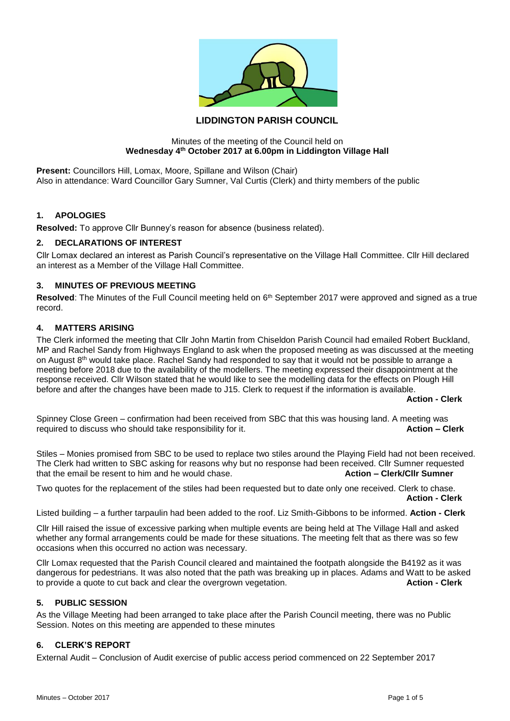

# **LIDDINGTON PARISH COUNCIL**

#### Minutes of the meeting of the Council held on **Wednesday 4th October 2017 at 6.00pm in Liddington Village Hall**

**Present: Councillors Hill, Lomax, Moore, Spillane and Wilson (Chair)** Also in attendance: Ward Councillor Gary Sumner, Val Curtis (Clerk) and thirty members of the public

### **1. APOLOGIES**

**Resolved:** To approve Cllr Bunney's reason for absence (business related).

### **2. DECLARATIONS OF INTEREST**

Cllr Lomax declared an interest as Parish Council's representative on the Village Hall Committee. Cllr Hill declared an interest as a Member of the Village Hall Committee.

## **3. MINUTES OF PREVIOUS MEETING**

Resolved: The Minutes of the Full Council meeting held on 6<sup>th</sup> September 2017 were approved and signed as a true record.

### **4. MATTERS ARISING**

The Clerk informed the meeting that Cllr John Martin from Chiseldon Parish Council had emailed Robert Buckland, MP and Rachel Sandy from Highways England to ask when the proposed meeting as was discussed at the meeting on August 8<sup>th</sup> would take place. Rachel Sandy had responded to say that it would not be possible to arrange a meeting before 2018 due to the availability of the modellers. The meeting expressed their disappointment at the response received. Cllr Wilson stated that he would like to see the modelling data for the effects on Plough Hill before and after the changes have been made to J15. Clerk to request if the information is available.

**Action - Clerk**

Spinney Close Green – confirmation had been received from SBC that this was housing land. A meeting was required to discuss who should take responsibility for it. **Action – Clerk**

Stiles – Monies promised from SBC to be used to replace two stiles around the Playing Field had not been received. The Clerk had written to SBC asking for reasons why but no response had been received. Cllr Sumner requested that the email be resent to him and he would chase. **Action – Clerk/Cllr Sumner**

Two quotes for the replacement of the stiles had been requested but to date only one received. Clerk to chase. **Action - Clerk**

Listed building – a further tarpaulin had been added to the roof. Liz Smith-Gibbons to be informed. **Action - Clerk**

Cllr Hill raised the issue of excessive parking when multiple events are being held at The Village Hall and asked whether any formal arrangements could be made for these situations. The meeting felt that as there was so few occasions when this occurred no action was necessary.

Cllr Lomax requested that the Parish Council cleared and maintained the footpath alongside the B4192 as it was dangerous for pedestrians. It was also noted that the path was breaking up in places. Adams and Watt to be asked to provide a quote to cut back and clear the overgrown vegetation. **Action - Clerk**

#### **5. PUBLIC SESSION**

As the Village Meeting had been arranged to take place after the Parish Council meeting, there was no Public Session. Notes on this meeting are appended to these minutes

#### **6. CLERK'S REPORT**

External Audit – Conclusion of Audit exercise of public access period commenced on 22 September 2017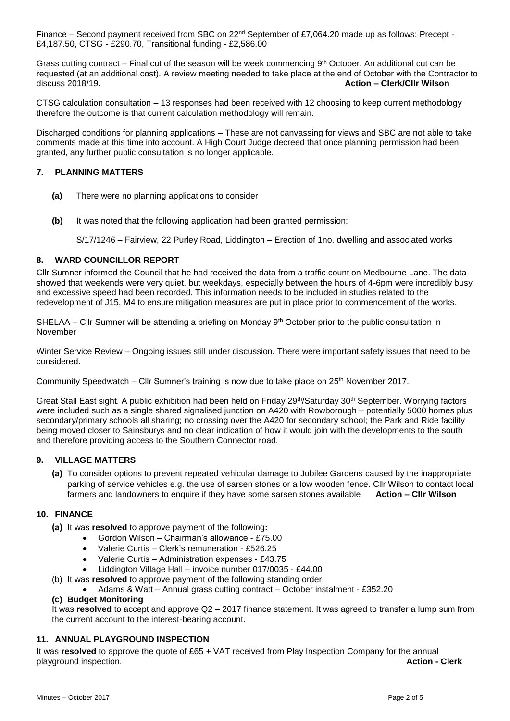Finance – Second payment received from SBC on 22<sup>nd</sup> September of £7,064.20 made up as follows: Precept -£4,187.50, CTSG - £290.70, Transitional funding - £2,586.00

Grass cutting contract – Final cut of the season will be week commencing  $9<sup>th</sup> October.$  An additional cut can be requested (at an additional cost). A review meeting needed to take place at the end of October with the Contractor to discuss 2018/19. **Action – Clerk/Cllr Wilson**

CTSG calculation consultation – 13 responses had been received with 12 choosing to keep current methodology therefore the outcome is that current calculation methodology will remain.

Discharged conditions for planning applications – These are not canvassing for views and SBC are not able to take comments made at this time into account. A High Court Judge decreed that once planning permission had been granted, any further public consultation is no longer applicable.

## **7. PLANNING MATTERS**

- **(a)** There were no planning applications to consider
- **(b)** It was noted that the following application had been granted permission:

S/17/1246 – Fairview, 22 Purley Road, Liddington – Erection of 1no. dwelling and associated works

## **8. WARD COUNCILLOR REPORT**

Cllr Sumner informed the Council that he had received the data from a traffic count on Medbourne Lane. The data showed that weekends were very quiet, but weekdays, especially between the hours of 4-6pm were incredibly busy and excessive speed had been recorded. This information needs to be included in studies related to the redevelopment of J15, M4 to ensure mitigation measures are put in place prior to commencement of the works.

SHELAA – Cllr Sumner will be attending a briefing on Monday  $9<sup>th</sup>$  October prior to the public consultation in November

Winter Service Review – Ongoing issues still under discussion. There were important safety issues that need to be considered.

Community Speedwatch – Cllr Sumner's training is now due to take place on 25th November 2017.

Great Stall East sight. A public exhibition had been held on Friday 29<sup>th</sup>/Saturday 30<sup>th</sup> September. Worrying factors were included such as a single shared signalised junction on A420 with Rowborough – potentially 5000 homes plus secondary/primary schools all sharing; no crossing over the A420 for secondary school; the Park and Ride facility being moved closer to Sainsburys and no clear indication of how it would join with the developments to the south and therefore providing access to the Southern Connector road.

#### **9. VILLAGE MATTERS**

**(a)** To consider options to prevent repeated vehicular damage to Jubilee Gardens caused by the inappropriate parking of service vehicles e.g. the use of sarsen stones or a low wooden fence. Cllr Wilson to contact local farmers and landowners to enquire if they have some sarsen stones available **Action – Cllr Wilson**

#### **10. FINANCE**

- **(a)** It was **resolved** to approve payment of the following**:**
	- Gordon Wilson Chairman's allowance £75.00
	- Valerie Curtis Clerk's remuneration £526.25
	- Valerie Curtis Administration expenses £43.75
	- Liddington Village Hall invoice number 017/0035 £44.00
- (b) It was **resolved** to approve payment of the following standing order:
	- Adams & Watt Annual grass cutting contract October instalment £352.20

## **(c) Budget Monitoring**

It was **resolved** to accept and approve Q2 – 2017 finance statement. It was agreed to transfer a lump sum from the current account to the interest-bearing account.

## **11. ANNUAL PLAYGROUND INSPECTION**

It was **resolved** to approve the quote of £65 + VAT received from Play Inspection Company for the annual playground inspection. **Action - Clerk**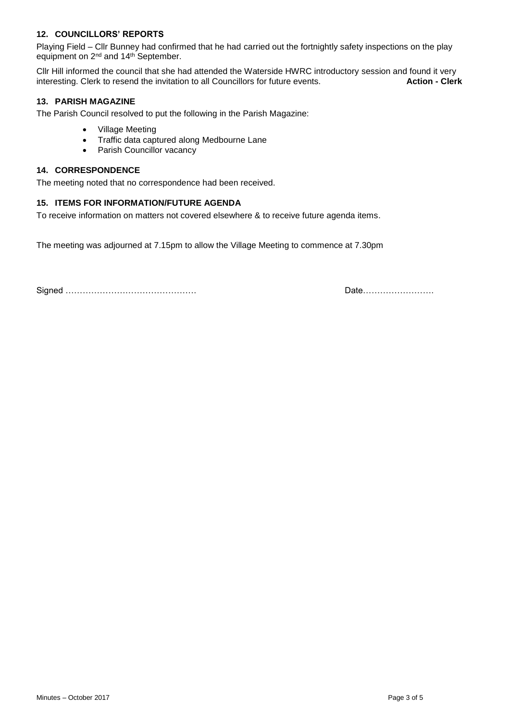# **12. COUNCILLORS' REPORTS**

Playing Field – Cllr Bunney had confirmed that he had carried out the fortnightly safety inspections on the play equipment on 2nd and 14th September.

Cllr Hill informed the council that she had attended the Waterside HWRC introductory session and found it very interesting. Clerk to resend the invitation to all Councillors for future events. **Action - Clerk**

## **13. PARISH MAGAZINE**

The Parish Council resolved to put the following in the Parish Magazine:

- Village Meeting
- Traffic data captured along Medbourne Lane
- Parish Councillor vacancy

#### **14. CORRESPONDENCE**

The meeting noted that no correspondence had been received.

## **15. ITEMS FOR INFORMATION/FUTURE AGENDA**

To receive information on matters not covered elsewhere & to receive future agenda items.

The meeting was adjourned at 7.15pm to allow the Village Meeting to commence at 7.30pm

Signed ………………………………………. Date…………………….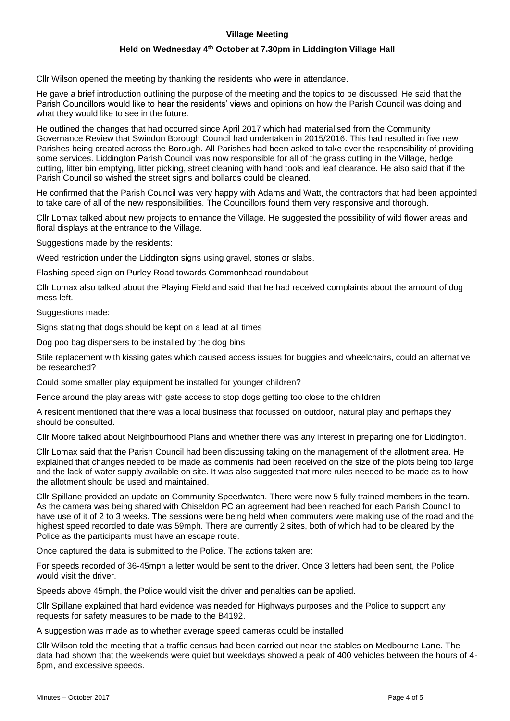## **Village Meeting**

## **Held on Wednesday 4th October at 7.30pm in Liddington Village Hall**

Cllr Wilson opened the meeting by thanking the residents who were in attendance.

He gave a brief introduction outlining the purpose of the meeting and the topics to be discussed. He said that the Parish Councillors would like to hear the residents' views and opinions on how the Parish Council was doing and what they would like to see in the future.

He outlined the changes that had occurred since April 2017 which had materialised from the Community Governance Review that Swindon Borough Council had undertaken in 2015/2016. This had resulted in five new Parishes being created across the Borough. All Parishes had been asked to take over the responsibility of providing some services. Liddington Parish Council was now responsible for all of the grass cutting in the Village, hedge cutting, litter bin emptying, litter picking, street cleaning with hand tools and leaf clearance. He also said that if the Parish Council so wished the street signs and bollards could be cleaned.

He confirmed that the Parish Council was very happy with Adams and Watt, the contractors that had been appointed to take care of all of the new responsibilities. The Councillors found them very responsive and thorough.

Cllr Lomax talked about new projects to enhance the Village. He suggested the possibility of wild flower areas and floral displays at the entrance to the Village.

Suggestions made by the residents:

Weed restriction under the Liddington signs using gravel, stones or slabs.

Flashing speed sign on Purley Road towards Commonhead roundabout

Cllr Lomax also talked about the Playing Field and said that he had received complaints about the amount of dog mess left.

Suggestions made:

Signs stating that dogs should be kept on a lead at all times

Dog poo bag dispensers to be installed by the dog bins

Stile replacement with kissing gates which caused access issues for buggies and wheelchairs, could an alternative be researched?

Could some smaller play equipment be installed for younger children?

Fence around the play areas with gate access to stop dogs getting too close to the children

A resident mentioned that there was a local business that focussed on outdoor, natural play and perhaps they should be consulted.

Cllr Moore talked about Neighbourhood Plans and whether there was any interest in preparing one for Liddington.

Cllr Lomax said that the Parish Council had been discussing taking on the management of the allotment area. He explained that changes needed to be made as comments had been received on the size of the plots being too large and the lack of water supply available on site. It was also suggested that more rules needed to be made as to how the allotment should be used and maintained.

Cllr Spillane provided an update on Community Speedwatch. There were now 5 fully trained members in the team. As the camera was being shared with Chiseldon PC an agreement had been reached for each Parish Council to have use of it of 2 to 3 weeks. The sessions were being held when commuters were making use of the road and the highest speed recorded to date was 59mph. There are currently 2 sites, both of which had to be cleared by the Police as the participants must have an escape route.

Once captured the data is submitted to the Police. The actions taken are:

For speeds recorded of 36-45mph a letter would be sent to the driver. Once 3 letters had been sent, the Police would visit the driver.

Speeds above 45mph, the Police would visit the driver and penalties can be applied.

Cllr Spillane explained that hard evidence was needed for Highways purposes and the Police to support any requests for safety measures to be made to the B4192.

A suggestion was made as to whether average speed cameras could be installed

Cllr Wilson told the meeting that a traffic census had been carried out near the stables on Medbourne Lane. The data had shown that the weekends were quiet but weekdays showed a peak of 400 vehicles between the hours of 4- 6pm, and excessive speeds.